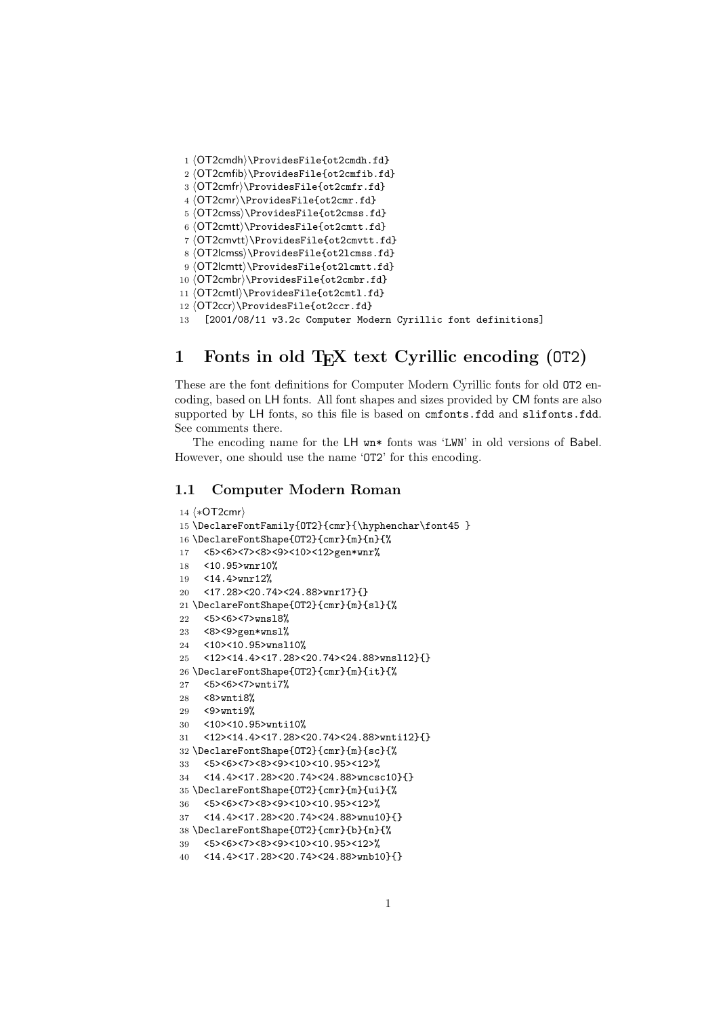```
1 ⟨OT2cmdh⟩\ProvidesFile{ot2cmdh.fd}
2 ⟨OT2cmfib⟩\ProvidesFile{ot2cmfib.fd}
3 ⟨OT2cmfr⟩\ProvidesFile{ot2cmfr.fd}
4 ⟨OT2cmr⟩\ProvidesFile{ot2cmr.fd}
5 ⟨OT2cmss⟩\ProvidesFile{ot2cmss.fd}
6 ⟨OT2cmtt⟩\ProvidesFile{ot2cmtt.fd}
7 ⟨OT2cmvtt⟩\ProvidesFile{ot2cmvtt.fd}
8 ⟨OT2lcmss⟩\ProvidesFile{ot2lcmss.fd}
9 ⟨OT2lcmtt⟩\ProvidesFile{ot2lcmtt.fd}
10 ⟨OT2cmbr⟩\ProvidesFile{ot2cmbr.fd}
11 ⟨OT2cmtl⟩\ProvidesFile{ot2cmtl.fd}
12 ⟨OT2ccr⟩\ProvidesFile{ot2ccr.fd}
```
[2001/08/11 v3.2c Computer Modern Cyrillic font definitions]

# 1 Fonts in old T<sub>E</sub>X text Cyrillic encoding (0T2)

These are the font definitions for Computer Modern Cyrillic fonts for old OT2 encoding, based on LH fonts. All font shapes and sizes provided by CM fonts are also supported by LH fonts, so this file is based on cmfonts.fdd and slifonts.fdd. See comments there.

The encoding name for the LH wn\* fonts was 'LWN' in old versions of Babel. However, one should use the name 'OT2' for this encoding.

### 1.1 Computer Modern Roman

```
14 ⟨∗OT2cmr⟩
15 \DeclareFontFamily{OT2}{cmr}{\hyphenchar\font45 }
16 \DeclareFontShape{OT2}{cmr}{m}{n}{%
17 <5><6><7><8><9><10><12>gen*wnr%
18 <10.95>wnr10%
19 <14.4>wnr12%
20 <17.28><20.74><24.88>wnr17}{}
21 \DeclareFontShape{OT2}{cmr}{m}{sl}{%
22 <5><6><7>wnsl8%
23 <8><9>gen*wnsl%
24 <10><10.95>wnsl10%
25 <12><14.4><17.28><20.74><24.88>wnsl12}{}
26 \DeclareFontShape{OT2}{cmr}{m}{it}{%
27 <5><6><7>wnti7%
28 <8>wnti8%
29 <9>wnti9%
30 <10><10.95>wnti10%
31 <12><14.4><17.28><20.74><24.88>wnti12}{}
32 \DeclareFontShape{OT2}{cmr}{m}{sc}{%
33 <5><6><7><8><9><10><10.95><12>%
34 <14.4><17.28><20.74><24.88>wncsc10}{}
35 \DeclareFontShape{OT2}{cmr}{m}{ui}{%
36 <5><6><7><8><9><10><10.95><12>%
37 <14.4><17.28><20.74><24.88>wnu10}{}
38 \DeclareFontShape{OT2}{cmr}{b}{n}{%
39 <5><6><7><8><9><10><10.95><12>%
40 <14.4><17.28><20.74><24.88>wnb10}{}
```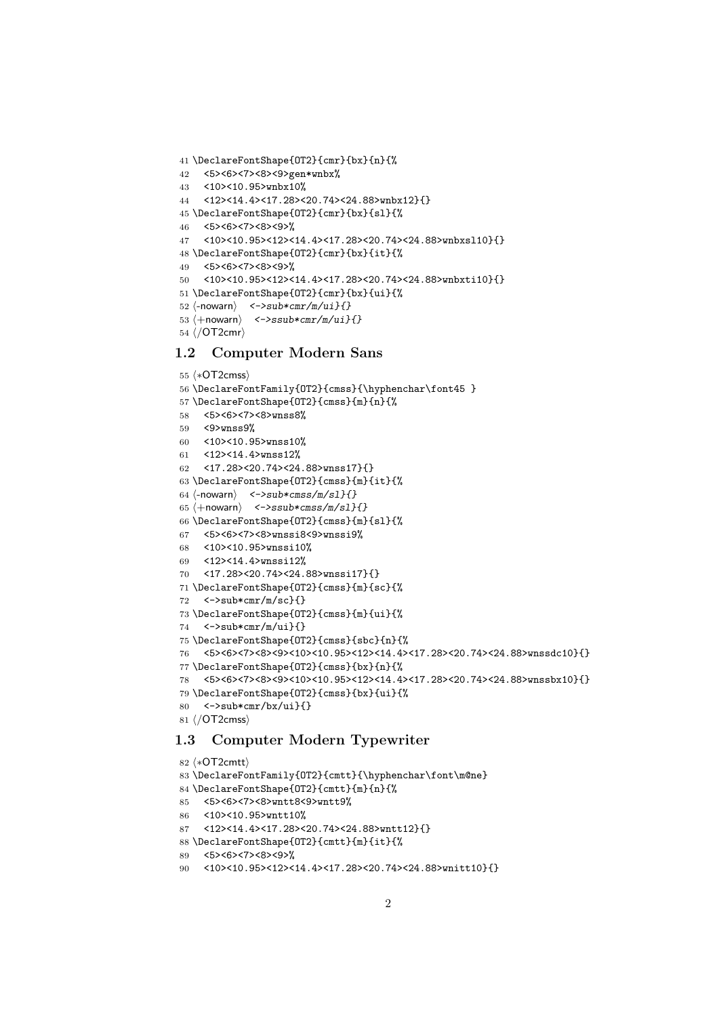```
41 \DeclareFontShape{OT2}{cmr}{bx}{n}{%
42 <5><6><7><8><9>gen*wnbx%
43 <10><10.95>wnbx10%
44 <12><14.4><17.28><20.74><24.88>wnbx12}{}
45 \DeclareFontShape{OT2}{cmr}{bx}{sl}{%
46 <5><6><7><8><9>%
47 <10><10.95><12><14.4><17.28><20.74><24.88>wnbxsl10}{}
48 \DeclareFontShape{OT2}{cmr}{bx}{it}{%
49 <5><6><7><8><9>%
50 <10><10.95><12><14.4><17.28><20.74><24.88>wnbxti10}{}
51 \DeclareFontShape{OT2}{cmr}{bx}{ui}{%
52 \langle-nowarn\rangle <->sub*cmr/m/ui}{}
53 \langle +nowarn\rangle < ->ssub*cmr/m/ui}{}
54 ⟨/OT2cmr⟩
```
### 1.2 Computer Modern Sans

```
55 ⟨∗OT2cmss⟩
56 \DeclareFontFamily{OT2}{cmss}{\hyphenchar\font45 }
57 \DeclareFontShape{OT2}{cmss}{m}{n}{%
58 <5><6><7><8>wnss8%
59 <9>wnss9%
60 <10><10.95>wnss10%
61 <12><14.4>wnss12%
62 <17.28><20.74><24.88>wnss17}{}
63 \DeclareFontShape{OT2}{cmss}{m}{it}{%
64 \langle-nowarn\rangle <->sub*cmss/m/sl}{}
65 \langle +nowarn\rangle <->ssub*cmss/m/sl}{}
66 \DeclareFontShape{OT2}{cmss}{m}{sl}{%
67 <5><6><7><8>wnssi8<9>wnssi9%
68 <10><10.95>wnssi10%
69 <12><14.4>wnssi12%
70 <17.28><20.74><24.88>wnssi17}{}
71 \DeclareFontShape{OT2}{cmss}{m}{sc}{%
72 \leq \frac{5}{2} \frac{\text{SUS} {\text{SUS}}}{\text{SUS}}73 \DeclareFontShape{OT2}{cmss}{m}{ui}{%
74 <->sub*cmr/m/ui}{}
75 \DeclareFontShape{OT2}{cmss}{sbc}{n}{%
76 <5><6><7><8><9><10><10.95><12><14.4><17.28><20.74><24.88>wnssdc10}{}
77 \DeclareFontShape{OT2}{cmss}{bx}{n}{%
78 <5><6><7><8><9><10><10.95><12><14.4><17.28><20.74><24.88>wnssbx10}{}
79 \DeclareFontShape{OT2}{cmss}{bx}{ui}{%
80 <->sub*cmr/bx/ui}{}
81 ⟨/OT2cmss⟩
1.3 Computer Modern Typewriter
```
### ⟨∗OT2cmtt⟩ \DeclareFontFamily{OT2}{cmtt}{\hyphenchar\font\m@ne} \DeclareFontShape{OT2}{cmtt}{m}{n}{% <5><6><7><8>wntt8<9>wntt9% <10><10.95>wntt10%

```
87 <12><14.4><17.28><20.74><24.88>wntt12}{}
```

```
88 \DeclareFontShape{OT2}{cmtt}{m}{it}{%
```

```
89 <5><6><7><8><9>%
```

```
90 <10><10.95><12><14.4><17.28><20.74><24.88>wnitt10}{}
```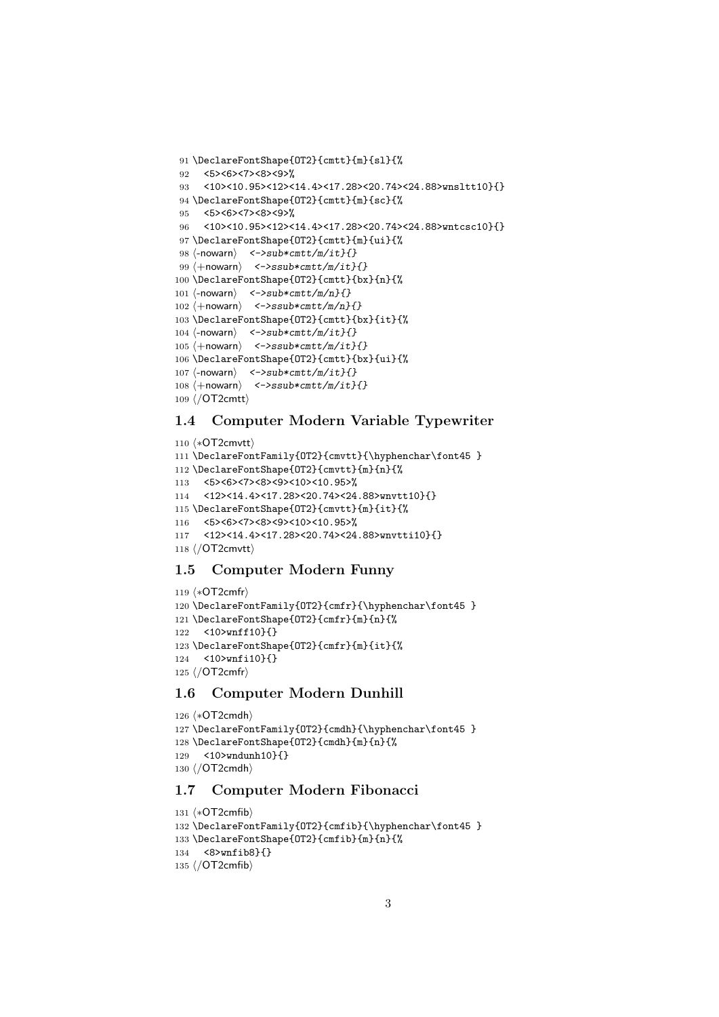```
91 \DeclareFontShape{OT2}{cmtt}{m}{sl}{%
92 <5><6><7><8><9>%
93 <10><10.95><12><14.4><17.28><20.74><24.88>wnsltt10}{}
94 \DeclareFontShape{OT2}{cmtt}{m}{sc}{%
95 <5><6><7><8><9>%
96 <10><10.95><12><14.4><17.28><20.74><24.88>wntcsc10}{}
97 \DeclareFontShape{OT2}{cmtt}{m}{ui}{%
98 \langle-nowarn\rangle <->sub*cmtt/m/it}{}
99 \langle +nowarn\rangle <->ssub*cmtt/m/it}{}
100 \DeclareFontShape{OT2}{cmtt}{bx}{n}{%
101 \langle-nowarn\rangle <->sub*cmtt/m/n}{}
102 \langle +\text{nowarn} \rangle <->ssub*cmtt/m/n}{}
103 \DeclareFontShape{OT2}{cmtt}{bx}{it}{%
104 \langle-nowarn\rangle <->sub*cmtt/m/it}{}
105 \langle +nowarn\rangle < ->ssub*cmtt/m/it}{}
106 \DeclareFontShape{OT2}{cmtt}{bx}{ui}{%
107 \langle-nowarn\rangle <->sub*cmtt/m/it}{}
108 \langle +nowarn\rangle <->ssub*cmtt/m/it}{}
109 ⟨/OT2cmtt⟩
```
### 1.4 Computer Modern Variable Typewriter

```
110 ⟨∗OT2cmvtt⟩
111 \DeclareFontFamily{OT2}{cmvtt}{\hyphenchar\font45 }
112 \DeclareFontShape{OT2}{cmvtt}{m}{n}{%
113 <5><6><7><8><9><10><10.95>%
114 <12><14.4><17.28><20.74><24.88>wnvtt10}{}
115 \DeclareFontShape{OT2}{cmvtt}{m}{it}{%
116 <5><6><7><8><9><10><10.95>%
117 <12><14.4><17.28><20.74><24.88>wnvtti10}{}
118 ⟨/OT2cmvtt⟩
```
### 1.5 Computer Modern Funny

```
119 ⟨∗OT2cmfr⟩
120 \DeclareFontFamily{OT2}{cmfr}{\hyphenchar\font45 }
121 \DeclareFontShape{OT2}{cmfr}{m}{n}{%
122 <10>wnff10}{}
123 \DeclareFontShape{OT2}{cmfr}{m}{it}{%
124 <10>wnfi10}{}
125 ⟨/OT2cmfr⟩
```
### 1.6 Computer Modern Dunhill

```
126 ⟨∗OT2cmdh⟩
127 \DeclareFontFamily{OT2}{cmdh}{\hyphenchar\font45 }
128 \DeclareFontShape{OT2}{cmdh}{m}{n}{%
129 <10>wndunh10}{}
130 ⟨/OT2cmdh⟩
```
# 1.7 Computer Modern Fibonacci

```
131 ⟨∗OT2cmfib⟩
132 \DeclareFontFamily{OT2}{cmfib}{\hyphenchar\font45 }
133 \DeclareFontShape{OT2}{cmfib}{m}{n}{%
134 <8>wnfib8}{}
135 ⟨/OT2cmfib⟩
```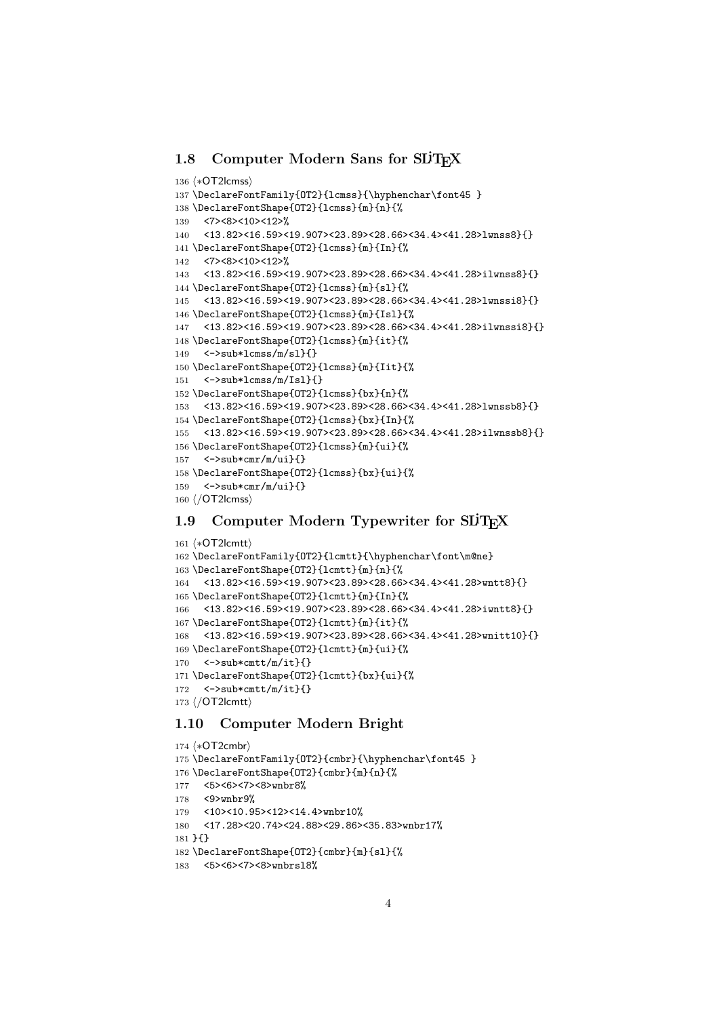### 1.8 Computer Modern Sans for SLIT<sub>EX</sub>

```
136 ⟨∗OT2lcmss⟩
137 \DeclareFontFamily{OT2}{lcmss}{\hyphenchar\font45 }
138 \DeclareFontShape{OT2}{lcmss}{m}{n}{%
139 <7><8><10><12>%
140 <13.82><16.59><19.907><23.89><28.66><34.4><41.28>lwnss8}{}
141 \DeclareFontShape{OT2}{lcmss}{m}{In}{%
142 <7><8><10><12>%
143 <13.82><16.59><19.907><23.89><28.66><34.4><41.28>ilwnss8}{}
144 \DeclareFontShape{OT2}{lcmss}{m}{sl}{%
145 <13.82><16.59><19.907><23.89><28.66><34.4><41.28>lwnssi8}{}
146 \DeclareFontShape{OT2}{lcmss}{m}{Isl}{%
147 <13.82><16.59><19.907><23.89><28.66><34.4><41.28>ilwnssi8}{}
148 \DeclareFontShape{OT2}{lcmss}{m}{it}{%
149 \leq \frac{5}{2}sub*lcmss/m/sl}{}
150 \DeclareFontShape{OT2}{lcmss}{m}{Iit}{%
151 \leq \frac{5}{2} \frac{\text{J51}}{\text{J52}}152 \DeclareFontShape{OT2}{lcmss}{bx}{n}{%
153 <13.82><16.59><19.907><23.89><28.66><34.4><41.28>lwnssb8}{}
154 \DeclareFontShape{OT2}{lcmss}{bx}{In}{%
155 <13.82><16.59><19.907><23.89><28.66><34.4><41.28>ilwnssb8}{}
156 \DeclareFontShape{OT2}{lcmss}{m}{ui}{%
157 <->sub*cmr/m/ui}{}
158 \DeclareFontShape{OT2}{lcmss}{bx}{ui}{%
159 <->sub*cmr/m/ui}{}
160 ⟨/OT2lcmss⟩
```
## 1.9 Computer Modern Typewriter for SLIT<sub>EX</sub>

```
161 ⟨∗OT2lcmtt⟩
162 \DeclareFontFamily{OT2}{lcmtt}{\hyphenchar\font\m@ne}
163 \DeclareFontShape{OT2}{lcmtt}{m}{n}{%
164 <13.82><16.59><19.907><23.89><28.66><34.4><41.28>wntt8}{}
165 \DeclareFontShape{OT2}{lcmtt}{m}{In}{%
166 <13.82><16.59><19.907><23.89><28.66><34.4><41.28>iwntt8}{}
167 \DeclareFontShape{OT2}{lcmtt}{m}{it}{%
168 <13.82><16.59><19.907><23.89><28.66><34.4><41.28>wnitt10}{}
169 \DeclareFontShape{OT2}{lcmtt}{m}{ui}{%
170 <->sub*cmtt/m/it}{}
171 \DeclareFontShape{OT2}{lcmtt}{bx}{ui}{%
172 \leq \frac{5}{3} < - > sub * cmtt/m/it}{}
173 ⟨/OT2lcmtt⟩
```
### 1.10 Computer Modern Bright

```
174 ⟨∗OT2cmbr⟩
175 \DeclareFontFamily{OT2}{cmbr}{\hyphenchar\font45 }
176 \DeclareFontShape{OT2}{cmbr}{m}{n}{%
177 <5><6><7><8>wnbr8%
178 <9>wnbr9%
179 <10><10.95><12><14.4>wnbr10%
180 <17.28><20.74><24.88><29.86><35.83>wnbr17%
181 }{}
182 \DeclareFontShape{OT2}{cmbr}{m}{sl}{%
183 <5><6><7><8>wnbrsl8%
```